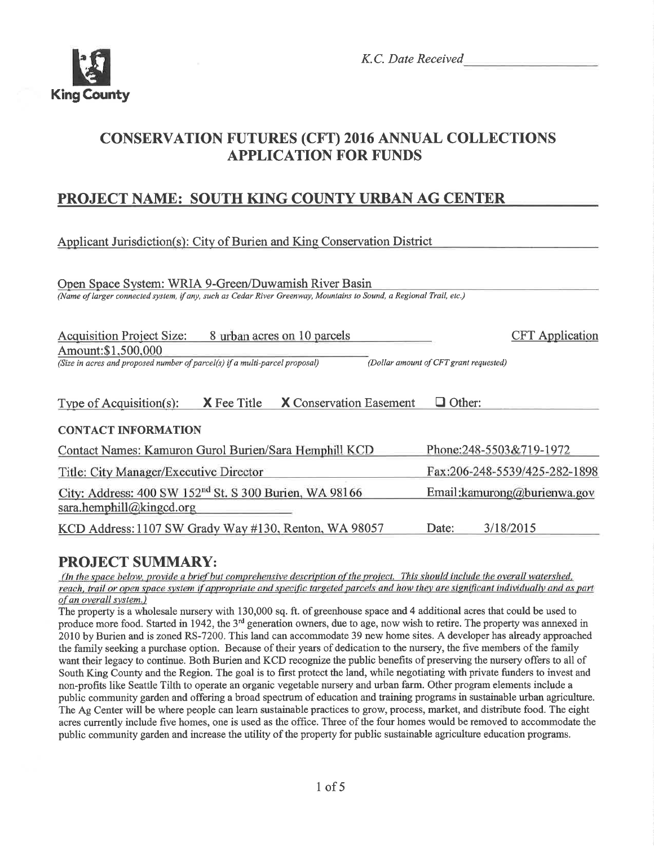

K.C. Date Received

# **CONSERVATION FUTURES (CFT) 2016 ANNUAL COLLECTIONS APPLICATION FOR FUNDS**

## **PROJECT NAME: SOUTH KING COUNTY URBAN AG CENTER**

Applicant Jurisdiction(s): City of Burien and King Conservation District

Open Space System: WRIA 9-Green/Duwamish River Basin (Name of larger connected system, if any, such as Cedar River Greenway, Mountains to Sound, a Regional Trail, etc.) Acquisition Project Size: 8 urban acres on 10 parcels **CFT** Application Amount:\$1,500,000 (Size in acres and proposed number of parcel(s) if a multi-parcel proposal) (Dollar amount of CFT grant requested) Type of Acquisition(s):  $X$  Fee Title  $X$  Conservation Easement  $\Box$  Other: **CONTACT INFORMATION** Contact Names: Kamuron Gurol Burien/Sara Hemphill KCD Phone:248-5503&719-1972 Title: City Manager/Executive Director Fax:206-248-5539/425-282-1898 City: Address: 400 SW 152<sup>nd</sup> St. S 300 Burien, WA 98166 Email: kamurong@burienwa.gov sara.hemphill@kingcd.org KCD Address: 1107 SW Grady Way #130, Renton, WA 98057 3/18/2015 Date:

## **PROJECT SUMMARY:**

(In the space below, provide a brief but comprehensive description of the project. This should include the overall watershed, reach, trail or open space system if appropriate and specific targeted parcels and how they are significant individually and as part of an overall system.)

The property is a wholesale nursery with 130,000 sq. ft. of greenhouse space and 4 additional acres that could be used to produce more food. Started in 1942, the 3<sup>rd</sup> generation owners, due to age, now wish to retire. The property was annexed in 2010 by Burien and is zoned RS-7200. This land can accommodate 39 new home sites. A developer has already approached the family seeking a purchase option. Because of their years of dedication to the nursery, the five members of the family want their legacy to continue. Both Burien and KCD recognize the public benefits of preserving the nursery offers to all of South King County and the Region. The goal is to first protect the land, while negotiating with private funders to invest and non-profits like Seattle Tilth to operate an organic vegetable nursery and urban farm. Other program elements include a public community garden and offering a broad spectrum of education and training programs in sustainable urban agriculture. The Ag Center will be where people can learn sustainable practices to grow, process, market, and distribute food. The eight acres currently include five homes, one is used as the office. Three of the four homes would be removed to accommodate the public community garden and increase the utility of the property for public sustainable agriculture education programs.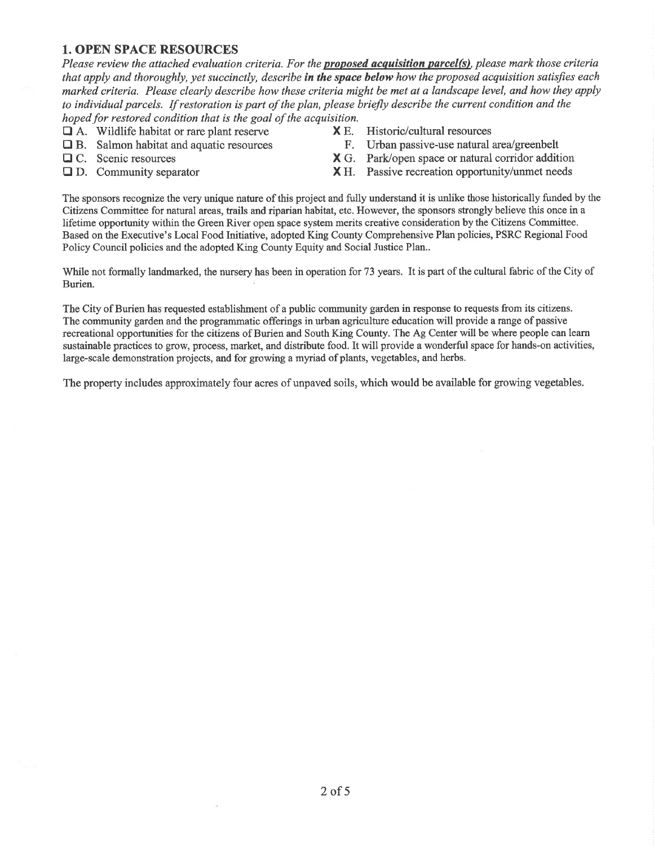#### 1. OPEN SPACE RESOURCES

Please review the attached evaluation criteria. For the **proposed acquisition parcel(s)**, please mark those criteria that apply and thoroughly, yet succinctly, describe in the space below how the proposed acquisition satisfies each marked criteria. Please clearly describe how these criteria might be met at a landscape level, and how they apply to individual parcels. If restoration is part of the plan, please briefly describe the current condition ønd the hoped for restored condition that is the goal of the acquisition.

- 
- $\Box$  A. Wildlife habitat or rare plant reserve  $\Box$  **X** E. Historic/cultural resources  $\Box$  B. Salmon habitat and aquatic resources F. Urban passive-use natural area/greenbelt  $\Box$  B. Salmon habitat and aquatic resources  $\Box$  C. Scenic resources
- 
- 
- 
- 
- $X G.$  Park/open space or natural corridor addition
- $\Box$  D. Community separator  $X$  H. Passive recreation opportunity/unmet needs

The sponsors recognize the very unique nature of this project and fully understand it is unlike those historically funded by the Citizens Committee for natural areas, fails and riparian habitat, etc. However, the sponsors strongly believe this once in <sup>a</sup> lifetime opportunity within the Green River open space system merits creative consideration by the Citizens Committee. Based on the Executive's Local Food Initiative, adopted King County Comprehensive Plan policies, PSRC Regional Food Policy Council policies and the adopted King County Equity and Social Justice Plan..

'While not formally landmarked, the nursery has been in operation for 73 years. It is part of the cultural fabric of the City of Burien.

The City of Burien has requested establishment of a public community garden in response to requests from its citizens. The community garden and the programmatic offerings in urban agriculture education will provide a range of passive recreational opportunities for the citizens of Burien and South King County, The Ag Center will be where people can learn sustainable practices to grow, process, market, and distribute food. It will provide a wonderful space for hands-on activities, large-scale demonstration projects, and for growing a myriad of plants, vegetables, and herbs.

The property includes approximately four acres of unpaved soils, which would be available for growing vegetables.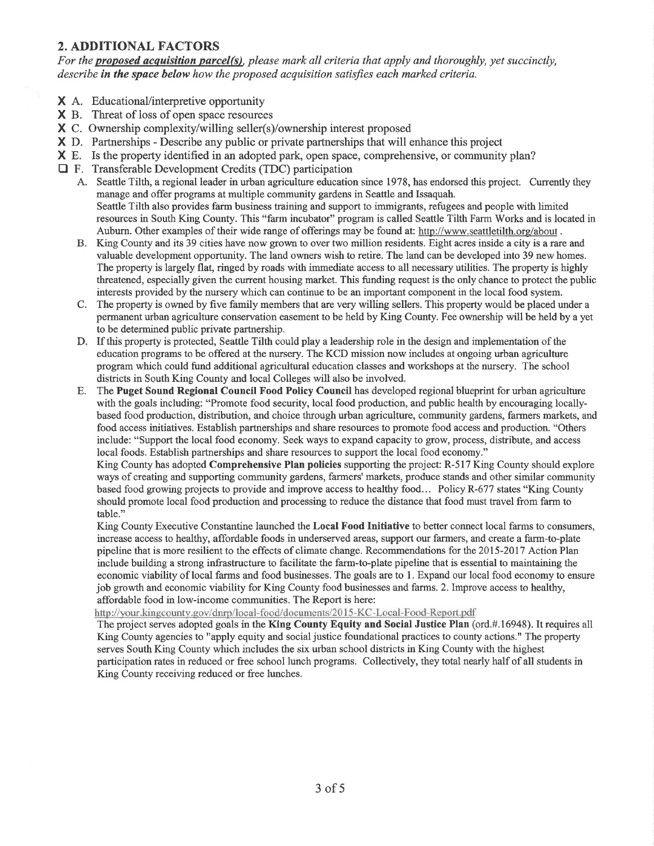#### 2. ADDITIONAL FACTORS

For the **proposed acquisition parcel(s)**, please mark all criteria that apply and thoroughly, yet succinctly, describe in the space below how the proposed acquisition satisfies each marked criteria.

- X A. EducationaVinterpretive opportunity
- **X** B. Threat of loss of open space resources
- X C. Ownership complexity/willing seller(s)/ownership interest proposed
- X D. Partnerships Describe any public or private partnerships that will enhance this project
- X E. Is the property identified in an adopted park, open space, comprehensive, or community plan?
- E F. Transferable Development Credits (TDC) participation
	- A. Seattle Tilth, a regional leader in urban agriculture education since 1978, has endorsed this project. Currently they manage and offer programs at multþle community gardens in Seattle and Issaquah. Seattle Tilth also provides farm business training and support to immigrants, refugees and people with limited resources in South King County. This "farm incubator" program is called Seattle Tilth Farm Works and is located in Auburn. Other examples of their wide range of offerings may be found at: http://www.seattletilth.org/about .
	- B. King County and its 39 cities have now grown to over two million residents. Eight acres inside a city is a rare and valuable development opportunity. The land owners wish to retire. The land can be developed into 39 new homes. The property is largely flat, ringed by roads with immediate access to all necessary utilities. The property is highly threatened, especially given the current housing market. This funding request is the only chance to protect the public interests provided by the nursery which can continue to be an important component in the local food system.
	- C. The property is owned by frve family members that are very willing sellers. This property would be placed under <sup>a</sup> permanent urban agriculture conservation easement to be held by King County. Fee ownership will be held by a yet to be determined public private partnership.
	- D. If this property is protected, Seattle Tilth could play a leadership role in the design and implementation of the education programs to be offered at the nursery. The KCD mission now includes at ongoing urban agriculture program which could fund additional agricultural education classes and workshops at the nursery. The school districts in South King County and local Colleges will also be involved.
	- E. The Puget Sound Regional Council Food Policy Council has developed regional blueprint for urban agriculture with the goals including: "Promote food security, local food production, and public health by encouraging locallybased food production, distribution, and choice through urban agriculture, community gardens, farmers markets, and food access initiatives. Establish partnerships and share resources to promote food access and production. "Others include: "Support the local food economy. Seek ways to expand capacity to grow, process, distribute, and access local foods. Establish partnerships and share resources to support the local food economy."

King County has adopted Comprehensive Plan policies supporting the project: R-517 King County should explore ways of creating and supporting community gardens, farmers'markets, produce stands and other similar community based food growing projects to provide and improve access to healthy food... Policy R-677 states "King County should promote local food production and processing to reduce the distance that food must travel from farm to table."

King County Executive Constantine launched the Local Food Initiative to better connect local farms to consumers, increase access to healthy, affordable foods inunderserved areas, support our farmers, and create a farm-to-plate pipeline that is more resilient to the effects of climate change. Recommendations for the 2015-2017 Action Plan include building a strong infrastructure to facilitate the farm-to-plate pipeline that is essential to maintaining the economic viability of local farms and food businesses. The goals are to l. Expand our local food economy to ensure job growth and economic viability for King County food businesses and farms. 2. Improve access to healthy, affordable food in low-income communities. The Report is here:

http://your.kingcounty.gov/dnrp/local-food/documents/2015-KC-Local-Food-Report.pdf

The project serves adopted goals in the King County Equity and Social Justice Plan (ord.#.16948). It requires all King County agencies to "apply equity and social justice foundational practices to county actions." The property serves South King County which includes the six urban school districts in King County with the highest participation rates in reduced or free school lunch programs. Collectively, they total nearly half of all students in King County receiving reduced or free lunches.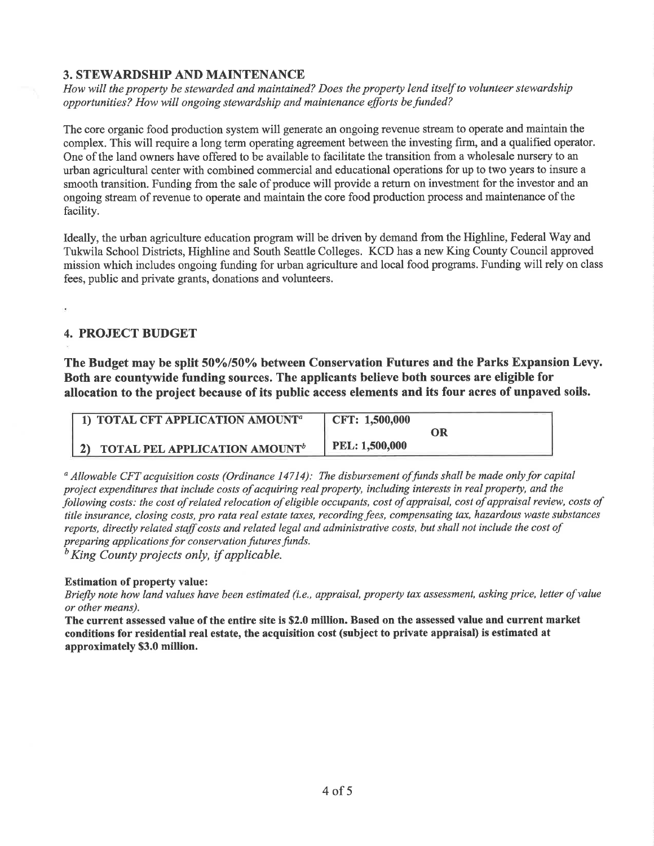#### 3. STEWARDSHIP AND MAINTENANCE

How will the property be stewarded and maintained? Does the property lend itself to volunteer stewardship opportunities? How will ongoing stewardship and maintenance efforts be funded?

The core organic food production system will generate an ongoing revenue stream to operate and maintain the complex. This will require a long term operating agreement between the investing firm, and a qualified operator. One of the land owners have offered to be available to facilitate the transition from a wholesale nursery to an urban agricultural center with combined commercial and educational operations for up to two years to insure a smooth transition. Funding from the sale of produce will provide a return on investment for the investor and an ongoing stream of revenue to operate and maintain the core food production process and maintenance of the facility.

Ideally, the urban agriculture education program will be driven by demand from the Highline, Federal Way and Tukwila School Districts, Highline and South Seattle Colleges. KCD has a new King County Council approved mission which includes ongoing funding for urban agriculture and local food programs. Funding will rely on class fees, public and private grants, donations and volunteers.

### 4. PROJECT BUDGET

The Budget may be split 50%/50% between Conservation Futures and the Parks Expansion Levy. Both are countywide funding sources. The applicants believe both sources are eligible for allocation to the project because of its public access elements and its four acres of unpaved soils.

| $\vert$ 1) TOTAL CFT APPLICATION AMOUNT <sup>a</sup> | CFT: 1,500,000 |  |
|------------------------------------------------------|----------------|--|
|                                                      |                |  |
| 2) TOTAL PEL APPLICATION AMOUNT <sup>b</sup>         | PEL: 1,500,000 |  |

 $a$  Allowable CFT acquisition costs (Ordinance 14714): The disbursement of funds shall be made only for capital project expenditures that include costs of acquiring real property, including interests in real property, ønd the þllowing costs: the cost of related relocation of eligible occupants, cost of appraisal, cost of appraisal review, costs of title insurance, closing costs, pro rata real estate taxes, recording fees, compensating tax, hazardous waste substances reports, directly related staff costs and related legal and administrative costs, but shall not include the cost of preparing applications for conservation futures funds.

 $\frac{b}{b}$ King County projects only, if applicable.

#### Estimation of property value:

Briefly note how land values have been estimated (i.e., øppraisal, property tax assessment, asking price, letter of value or other means).

The current assessed value of the entire site is \$2.0 million. Based on the assessed value and current market condÍtions for residential real estate, the acquisition cost (subject to private appraisal) is estimated at approximately \$3.0 million.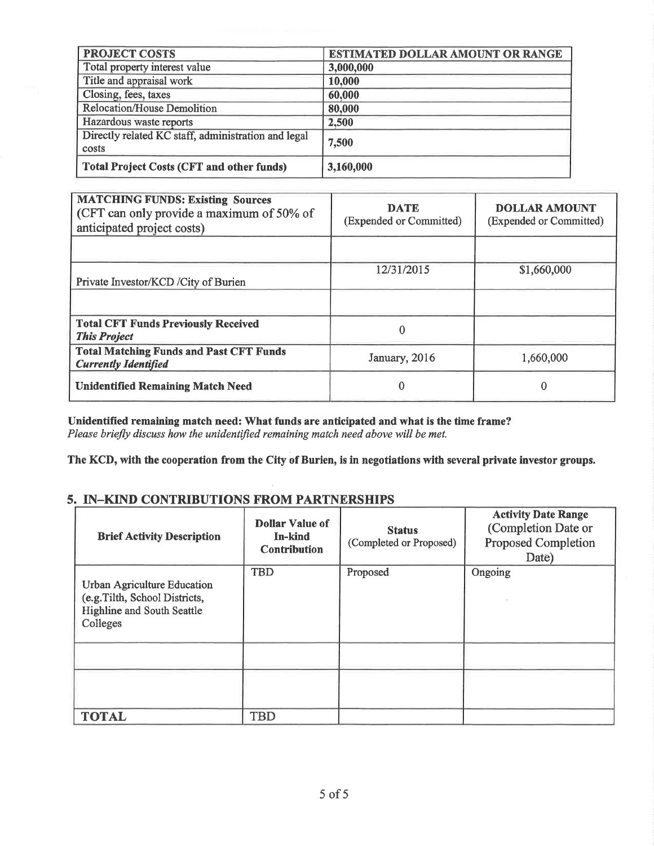| <b>PROJECT COSTS</b>                                         | <b>ESTIMATED DOLLAR AMOUNT OR RANGE</b> |  |
|--------------------------------------------------------------|-----------------------------------------|--|
| Total property interest value                                | 3,000,000                               |  |
| Title and appraisal work                                     | 10,000                                  |  |
| Closing, fees, taxes                                         | 60,000                                  |  |
| <b>Relocation/House Demolition</b>                           | 80,000                                  |  |
| Hazardous waste reports                                      | 2,500                                   |  |
| Directly related KC staff, administration and legal<br>costs | 7,500                                   |  |
| <b>Total Project Costs (CFT and other funds)</b>             | 3,160,000                               |  |

| <b>MATCHING FUNDS: Existing Sources</b><br>(CFT can only provide a maximum of 50% of<br>anticipated project costs) | <b>DATE</b><br>(Expended or Committed) | <b>DOLLAR AMOUNT</b><br>(Expended or Committed) |
|--------------------------------------------------------------------------------------------------------------------|----------------------------------------|-------------------------------------------------|
|                                                                                                                    |                                        |                                                 |
| Private Investor/KCD / City of Burien                                                                              | 12/31/2015                             | \$1,660,000                                     |
|                                                                                                                    |                                        |                                                 |
| <b>Total CFT Funds Previously Received</b><br><b>This Project</b>                                                  |                                        |                                                 |
| <b>Total Matching Funds and Past CFT Funds</b><br><b>Currently Identified</b>                                      | January, 2016                          | 1,660,000                                       |
| <b>Unidentified Remaining Match Need</b>                                                                           | o                                      |                                                 |

Unidentified remaining match need: What funds are anticipated and what is the time frame?<br>Please briefly discuss how the unidentified remaining match need above will be met.

The KCD, with the cooperation from the City of Burien, is in negotiations with several private investor groups.

### 5. IN-KIND CONTRIBUTIONS FROM PARTNERSHIPS

| <b>Brief Activity Description</b>                                                                              | <b>Dollar Value of</b><br>In-kind<br><b>Contribution</b> | <b>Status</b><br>(Completed or Proposed) | <b>Activity Date Range</b><br>(Completion Date or<br><b>Proposed Completion</b><br>Date) |
|----------------------------------------------------------------------------------------------------------------|----------------------------------------------------------|------------------------------------------|------------------------------------------------------------------------------------------|
| Urban Agriculture Education<br>(e.g. Tilth, School Districts,<br><b>Highline and South Seattle</b><br>Colleges | <b>TBD</b>                                               | Proposed                                 | Ongoing                                                                                  |
|                                                                                                                |                                                          |                                          |                                                                                          |
| <b>TOTAL</b>                                                                                                   | <b>TBD</b>                                               |                                          |                                                                                          |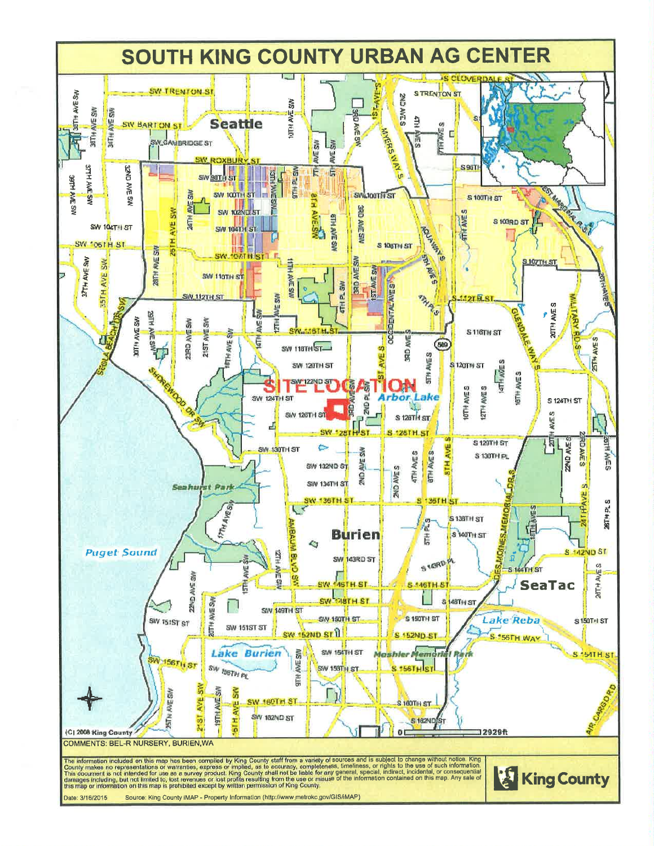